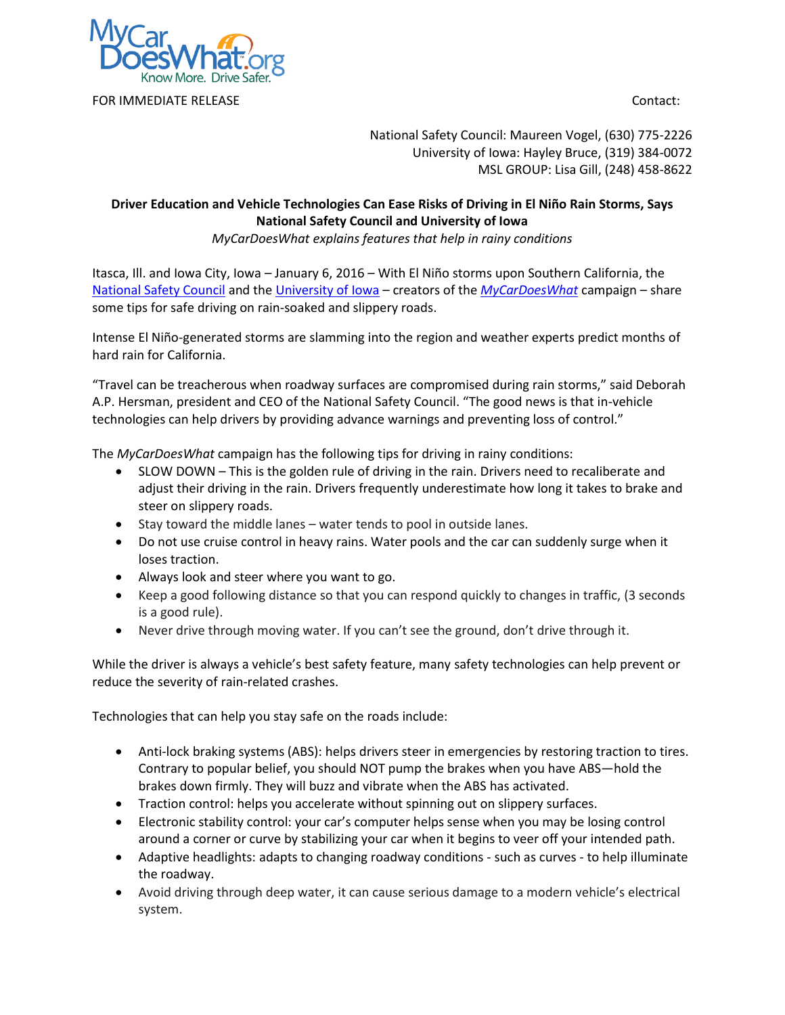

FOR IMMEDIATE RELEASE **CONTACT IN A SET A SET AND RELEASE** CONTACT:

National Safety Council: Maureen Vogel, (630) 775-2226 University of Iowa: Hayley Bruce, (319) 384-0072 MSL GROUP: Lisa Gill, (248) 458-8622

## **Driver Education and Vehicle Technologies Can Ease Risks of Driving in El Niño Rain Storms, Says National Safety Council and University of Iowa**

*MyCarDoesWhat explains features that help in rainy conditions*

Itasca, Ill. and Iowa City, Iowa – January 6, 2016 – With El Niño storms upon Southern California, the [National Safety Council](http://www.nsc.org/) and the [University of Iowa](http://ppc.uiowa.edu/tvs) – creators of the *[MyCarDoesWhat](http://www.mycardoeswhat.org/)* campaign – share some tips for safe driving on rain-soaked and slippery roads.

Intense El Niño-generated storms are slamming into the region and weather experts predict months of hard rain for California.

"Travel can be treacherous when roadway surfaces are compromised during rain storms," said Deborah A.P. Hersman, president and CEO of the National Safety Council. "The good news is that in-vehicle technologies can help drivers by providing advance warnings and preventing loss of control."

The *MyCarDoesWhat* campaign has the following tips for driving in rainy conditions:

- SLOW DOWN This is the golden rule of driving in the rain. Drivers need to recaliberate and adjust their driving in the rain. Drivers frequently underestimate how long it takes to brake and steer on slippery roads.
- $\bullet$  Stay toward the middle lanes water tends to pool in outside lanes.
- Do not use cruise control in heavy rains. Water pools and the car can suddenly surge when it loses traction.
- Always look and steer where you want to go.
- Keep a good following distance so that you can respond quickly to changes in traffic, (3 seconds is a good rule).
- Never drive through moving water. If you can't see the ground, don't drive through it.

While the driver is always a vehicle's best safety feature, many safety technologies can help prevent or reduce the severity of rain-related crashes.

Technologies that can help you stay safe on the roads include:

- Anti-lock braking systems (ABS): helps drivers steer in emergencies by restoring traction to tires. Contrary to popular belief, you should NOT pump the brakes when you have ABS—hold the brakes down firmly. They will buzz and vibrate when the ABS has activated.
- Traction control: helps you accelerate without spinning out on slippery surfaces.
- Electronic stability control: your car's computer helps sense when you may be losing control around a corner or curve by stabilizing your car when it begins to veer off your intended path.
- Adaptive headlights: adapts to changing roadway conditions such as curves to help illuminate the roadway.
- Avoid driving through deep water, it can cause serious damage to a modern vehicle's electrical system.